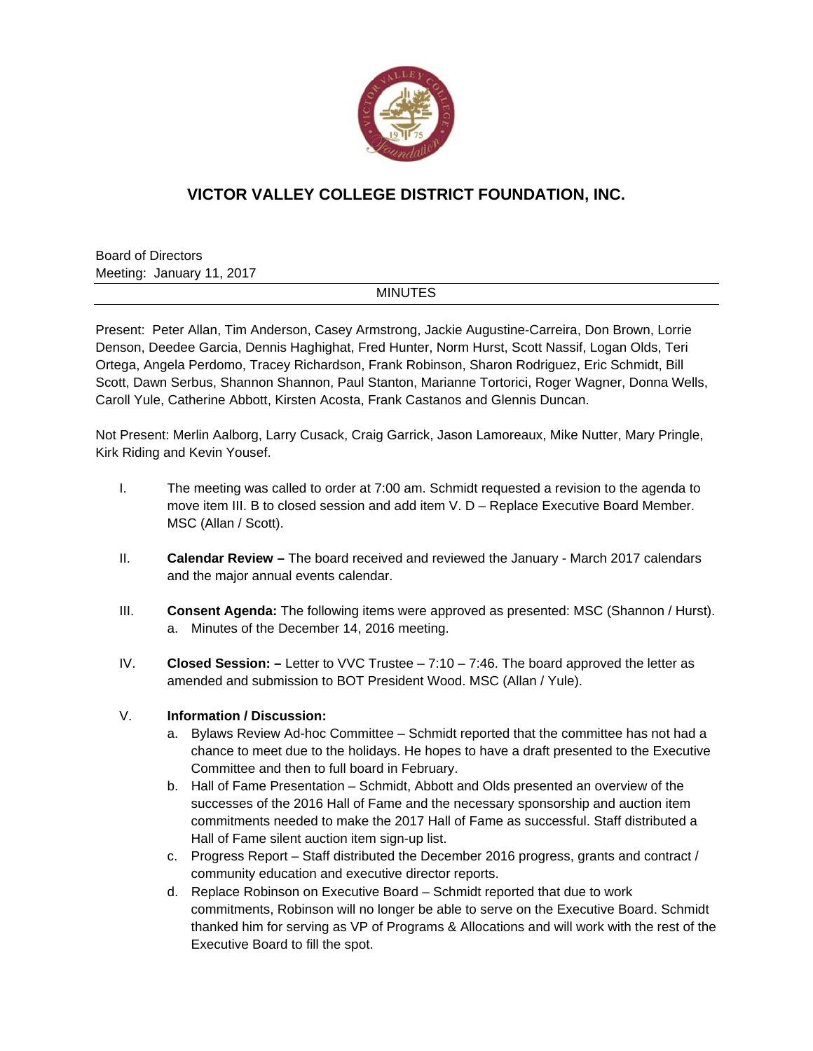

## **VICTOR VALLEY COLLEGE DISTRICT FOUNDATION, INC.**

Board of Directors Meeting: January 11, 2017

## MINUTES

Present: Peter Allan, Tim Anderson, Casey Armstrong, Jackie Augustine-Carreira, Don Brown, Lorrie Denson, Deedee Garcia, Dennis Haghighat, Fred Hunter, Norm Hurst, Scott Nassif, Logan Olds, Teri Ortega, Angela Perdomo, Tracey Richardson, Frank Robinson, Sharon Rodriguez, Eric Schmidt, Bill Scott, Dawn Serbus, Shannon Shannon, Paul Stanton, Marianne Tortorici, Roger Wagner, Donna Wells, Caroll Yule, Catherine Abbott, Kirsten Acosta, Frank Castanos and Glennis Duncan.

Not Present: Merlin Aalborg, Larry Cusack, Craig Garrick, Jason Lamoreaux, Mike Nutter, Mary Pringle, Kirk Riding and Kevin Yousef.

- I. The meeting was called to order at 7:00 am. Schmidt requested a revision to the agenda to move item III. B to closed session and add item V. D – Replace Executive Board Member. MSC (Allan / Scott).
- II. **Calendar Review** The board received and reviewed the January March 2017 calendars and the major annual events calendar.
- III. **Consent Agenda:** The following items were approved as presented: MSC (Shannon / Hurst). a. Minutes of the December 14, 2016 meeting.
- IV. **Closed Session:** Letter to VVC Trustee 7:10 7:46. The board approved the letter as amended and submission to BOT President Wood. MSC (Allan / Yule).

## V. **Information / Discussion:**

- a. Bylaws Review Ad-hoc Committee Schmidt reported that the committee has not had a chance to meet due to the holidays. He hopes to have a draft presented to the Executive Committee and then to full board in February.
- b. Hall of Fame Presentation Schmidt, Abbott and Olds presented an overview of the successes of the 2016 Hall of Fame and the necessary sponsorship and auction item commitments needed to make the 2017 Hall of Fame as successful. Staff distributed a Hall of Fame silent auction item sign-up list.
- c. Progress Report Staff distributed the December 2016 progress, grants and contract / community education and executive director reports.
- d. Replace Robinson on Executive Board Schmidt reported that due to work commitments, Robinson will no longer be able to serve on the Executive Board. Schmidt thanked him for serving as VP of Programs & Allocations and will work with the rest of the Executive Board to fill the spot.